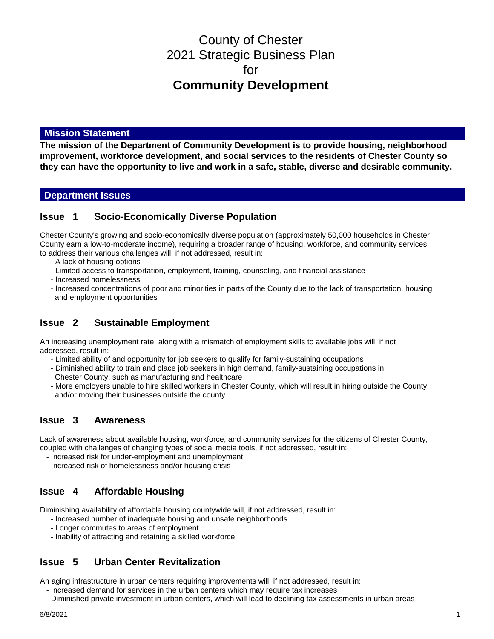# County of Chester 2021 Strategic Business Plan for **Community Development**

### **Mission Statement**

**The mission of the Department of Community Development is to provide housing, neighborhood improvement, workforce development, and social services to the residents of Chester County so they can have the opportunity to live and work in a safe, stable, diverse and desirable community.**

### **Department Issues**

### **Issue 1 Socio-Economically Diverse Population**

Chester County's growing and socio-economically diverse population (approximately 50,000 households in Chester County earn a low-to-moderate income), requiring a broader range of housing, workforce, and community services to address their various challenges will, if not addressed, result in:

- A lack of housing options
- Limited access to transportation, employment, training, counseling, and financial assistance
- Increased homelessness
- Increased concentrations of poor and minorities in parts of the County due to the lack of transportation, housing and employment opportunities

### **Issue 2 Sustainable Employment**

An increasing unemployment rate, along with a mismatch of employment skills to available jobs will, if not addressed, result in:

- Limited ability of and opportunity for job seekers to qualify for family-sustaining occupations
- Diminished ability to train and place job seekers in high demand, family-sustaining occupations in
- Chester County, such as manufacturing and healthcare
- More employers unable to hire skilled workers in Chester County, which will result in hiring outside the County and/or moving their businesses outside the county

### **Issue 3 Awareness**

Lack of awareness about available housing, workforce, and community services for the citizens of Chester County, coupled with challenges of changing types of social media tools, if not addressed, result in:

- Increased risk for under-employment and unemployment
- Increased risk of homelessness and/or housing crisis

# **Issue 4 Affordable Housing**

Diminishing availability of affordable housing countywide will, if not addressed, result in:

- Increased number of inadequate housing and unsafe neighborhoods
- Longer commutes to areas of employment
- Inability of attracting and retaining a skilled workforce

# **Issue 5 Urban Center Revitalization**

An aging infrastructure in urban centers requiring improvements will, if not addressed, result in:

- Increased demand for services in the urban centers which may require tax increases
- Diminished private investment in urban centers, which will lead to declining tax assessments in urban areas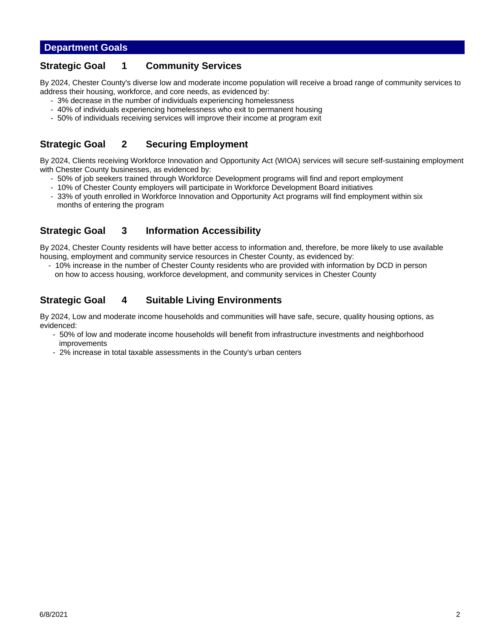### **Department Goals**

### **Strategic Goal 1 Community Services**

By 2024, Chester County's diverse low and moderate income population will receive a broad range of community services to address their housing, workforce, and core needs, as evidenced by:

- 3% decrease in the number of individuals experiencing homelessness
- 40% of individuals experiencing homelessness who exit to permanent housing
- 50% of individuals receiving services will improve their income at program exit

# **Strategic Goal 2 Securing Employment**

By 2024, Clients receiving Workforce Innovation and Opportunity Act (WIOA) services will secure self-sustaining employment with Chester County businesses, as evidenced by:

- 50% of job seekers trained through Workforce Development programs will find and report employment
- 10% of Chester County employers will participate in Workforce Development Board initiatives
- 33% of youth enrolled in Workforce Innovation and Opportunity Act programs will find employment within six months of entering the program

# **Strategic Goal 3 Information Accessibility**

By 2024, Chester County residents will have better access to information and, therefore, be more likely to use available housing, employment and community service resources in Chester County, as evidenced by:

 - 10% increase in the number of Chester County residents who are provided with information by DCD in person on how to access housing, workforce development, and community services in Chester County

# **Strategic Goal 4 Suitable Living Environments**

By 2024, Low and moderate income households and communities will have safe, secure, quality housing options, as evidenced:

- 50% of low and moderate income households will benefit from infrastructure investments and neighborhood improvements
- 2% increase in total taxable assessments in the County's urban centers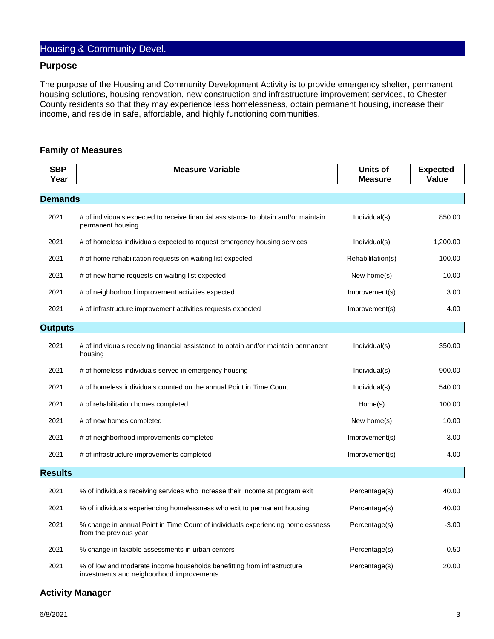# Housing & Community Devel.

#### **Purpose**

The purpose of the Housing and Community Development Activity is to provide emergency shelter, permanent housing solutions, housing renovation, new construction and infrastructure improvement services, to Chester County residents so that they may experience less homelessness, obtain permanent housing, increase their income, and reside in safe, affordable, and highly functioning communities.

#### **Family of Measures**

| <b>SBP</b><br>Year | <b>Measure Variable</b>                                                                                              | <b>Units of</b><br><b>Measure</b> | <b>Expected</b><br>Value |
|--------------------|----------------------------------------------------------------------------------------------------------------------|-----------------------------------|--------------------------|
|                    |                                                                                                                      |                                   |                          |
| <b>Demands</b>     |                                                                                                                      |                                   |                          |
| 2021               | # of individuals expected to receive financial assistance to obtain and/or maintain<br>permanent housing             | Individual(s)                     | 850.00                   |
| 2021               | # of homeless individuals expected to request emergency housing services                                             | Individual(s)                     | 1,200.00                 |
| 2021               | # of home rehabilitation requests on waiting list expected                                                           | Rehabilitation(s)                 | 100.00                   |
| 2021               | # of new home requests on waiting list expected                                                                      | New home(s)                       | 10.00                    |
| 2021               | # of neighborhood improvement activities expected                                                                    | Improvement(s)                    | 3.00                     |
| 2021               | # of infrastructure improvement activities requests expected                                                         | Improvement(s)                    | 4.00                     |
| <b>Outputs</b>     |                                                                                                                      |                                   |                          |
| 2021               | # of individuals receiving financial assistance to obtain and/or maintain permanent<br>housing                       | Individual(s)                     | 350.00                   |
| 2021               | # of homeless individuals served in emergency housing                                                                | Individual(s)                     | 900.00                   |
| 2021               | # of homeless individuals counted on the annual Point in Time Count                                                  | Individual(s)                     | 540.00                   |
| 2021               | # of rehabilitation homes completed                                                                                  | Home(s)                           | 100.00                   |
| 2021               | # of new homes completed                                                                                             | New home(s)                       | 10.00                    |
| 2021               | # of neighborhood improvements completed                                                                             | Improvement(s)                    | 3.00                     |
| 2021               | # of infrastructure improvements completed                                                                           | Improvement(s)                    | 4.00                     |
| <b>Results</b>     |                                                                                                                      |                                   |                          |
|                    |                                                                                                                      |                                   |                          |
| 2021               | % of individuals receiving services who increase their income at program exit                                        | Percentage(s)                     | 40.00                    |
| 2021               | % of individuals experiencing homelessness who exit to permanent housing                                             | Percentage(s)                     | 40.00                    |
| 2021               | % change in annual Point in Time Count of individuals experiencing homelessness<br>from the previous year            | Percentage(s)                     | $-3.00$                  |
| 2021               | % change in taxable assessments in urban centers                                                                     | Percentage(s)                     | 0.50                     |
| 2021               | % of low and moderate income households benefitting from infrastructure<br>investments and neighborhood improvements | Percentage(s)                     | 20.00                    |

#### **Activity Manager**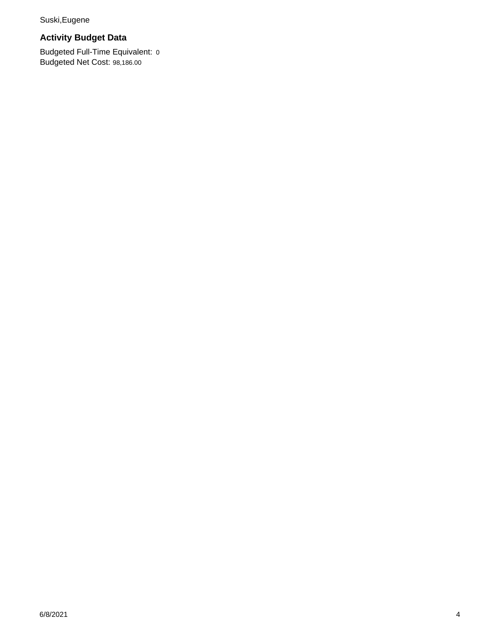Suski,Eugene

# **Activity Budget Data**

Budgeted Full-Time Equivalent: 0 Budgeted Net Cost: 98,186.00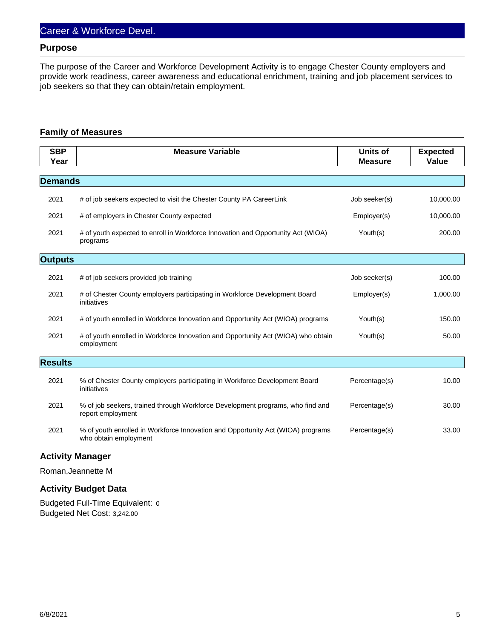#### **Purpose**

The purpose of the Career and Workforce Development Activity is to engage Chester County employers and provide work readiness, career awareness and educational enrichment, training and job placement services to job seekers so that they can obtain/retain employment.

#### **Family of Measures**

| <b>SBP</b><br>Year | <b>Measure Variable</b>                                                                                  | Units of<br><b>Measure</b> | <b>Expected</b><br>Value |
|--------------------|----------------------------------------------------------------------------------------------------------|----------------------------|--------------------------|
| <b>Demands</b>     |                                                                                                          |                            |                          |
| 2021               | # of job seekers expected to visit the Chester County PA CareerLink                                      | Job seeker(s)              | 10,000.00                |
| 2021               | # of employers in Chester County expected                                                                | Employer(s)                | 10,000.00                |
| 2021               | # of youth expected to enroll in Workforce Innovation and Opportunity Act (WIOA)<br>programs             | Youth(s)                   | 200.00                   |
| <b>Outputs</b>     |                                                                                                          |                            |                          |
| 2021               | # of job seekers provided job training                                                                   | Job seeker(s)              | 100.00                   |
| 2021               | # of Chester County employers participating in Workforce Development Board<br>initiatives                | Employer(s)                | 1,000.00                 |
| 2021               | # of youth enrolled in Workforce Innovation and Opportunity Act (WIOA) programs                          | Youth(s)                   | 150.00                   |
| 2021               | # of youth enrolled in Workforce Innovation and Opportunity Act (WIOA) who obtain<br>employment          | Youth(s)                   | 50.00                    |
| <b>Results</b>     |                                                                                                          |                            |                          |
| 2021               | % of Chester County employers participating in Workforce Development Board<br>initiatives                | Percentage(s)              | 10.00                    |
| 2021               | % of job seekers, trained through Workforce Development programs, who find and<br>report employment      | Percentage(s)              | 30.00                    |
| 2021               | % of youth enrolled in Workforce Innovation and Opportunity Act (WIOA) programs<br>who obtain employment | Percentage(s)              | 33.00                    |

### **Activity Manager**

Roman,Jeannette M

### **Activity Budget Data**

Budgeted Full-Time Equivalent: 0 Budgeted Net Cost: 3,242.00